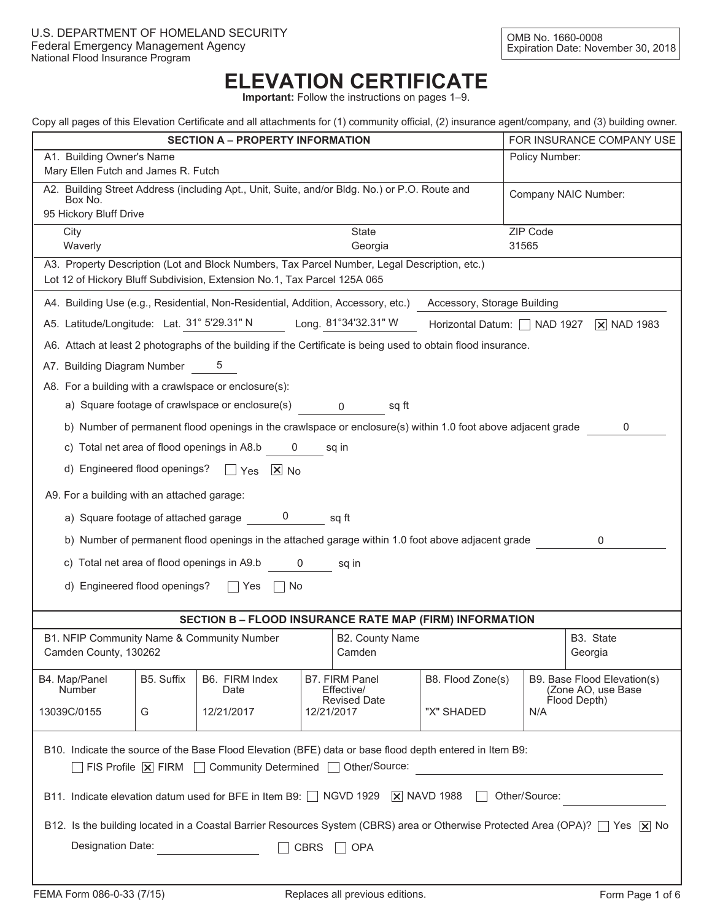# **ELEVATION CERTIFICATE**

**Important:** Follow the instructions on pages 1–9.

|  | Copy all pages of this Elevation Certificate and all attachments for (1) community official, (2) insurance agent/company, and (3) building owner. |  |  |  |  |
|--|---------------------------------------------------------------------------------------------------------------------------------------------------|--|--|--|--|
|  |                                                                                                                                                   |  |  |  |  |
|  |                                                                                                                                                   |  |  |  |  |
|  |                                                                                                                                                   |  |  |  |  |

| <b>SECTION A - PROPERTY INFORMATION</b><br>A1. Building Owner's Name                                                             |                                                                                           |                                                                                                                                                                          |              |                              |                            |       | FOR INSURANCE COMPANY USE<br>Policy Number:                                                                                    |  |
|----------------------------------------------------------------------------------------------------------------------------------|-------------------------------------------------------------------------------------------|--------------------------------------------------------------------------------------------------------------------------------------------------------------------------|--------------|------------------------------|----------------------------|-------|--------------------------------------------------------------------------------------------------------------------------------|--|
| Mary Ellen Futch and James R. Futch                                                                                              |                                                                                           |                                                                                                                                                                          |              |                              |                            |       |                                                                                                                                |  |
| A2. Building Street Address (including Apt., Unit, Suite, and/or Bldg. No.) or P.O. Route and<br>Company NAIC Number:<br>Box No. |                                                                                           |                                                                                                                                                                          |              |                              |                            |       |                                                                                                                                |  |
| 95 Hickory Bluff Drive<br>ZIP Code                                                                                               |                                                                                           |                                                                                                                                                                          |              |                              |                            |       |                                                                                                                                |  |
| City<br>Waverly                                                                                                                  |                                                                                           |                                                                                                                                                                          |              | <b>State</b><br>Georgia      |                            | 31565 |                                                                                                                                |  |
|                                                                                                                                  |                                                                                           | A3. Property Description (Lot and Block Numbers, Tax Parcel Number, Legal Description, etc.)<br>Lot 12 of Hickory Bluff Subdivision, Extension No.1, Tax Parcel 125A 065 |              |                              |                            |       |                                                                                                                                |  |
|                                                                                                                                  |                                                                                           | A4. Building Use (e.g., Residential, Non-Residential, Addition, Accessory, etc.) Accessory, Storage Building                                                             |              |                              |                            |       |                                                                                                                                |  |
|                                                                                                                                  |                                                                                           | A5. Latitude/Longitude: Lat. 31° 5'29.31" N Long. 81°34'32.31" W                                                                                                         |              |                              | Horizontal Datum: NAD 1927 |       | $\overline{X}$ NAD 1983                                                                                                        |  |
|                                                                                                                                  |                                                                                           | A6. Attach at least 2 photographs of the building if the Certificate is being used to obtain flood insurance.                                                            |              |                              |                            |       |                                                                                                                                |  |
| A7. Building Diagram Number                                                                                                      |                                                                                           | b                                                                                                                                                                        |              |                              |                            |       |                                                                                                                                |  |
|                                                                                                                                  |                                                                                           | A8. For a building with a crawlspace or enclosure(s):                                                                                                                    |              |                              |                            |       |                                                                                                                                |  |
|                                                                                                                                  |                                                                                           | a) Square footage of crawlspace or enclosure(s)                                                                                                                          |              | sq ft<br>$\mathbf 0$         |                            |       |                                                                                                                                |  |
|                                                                                                                                  |                                                                                           | b) Number of permanent flood openings in the crawlspace or enclosure(s) within 1.0 foot above adjacent grade                                                             |              |                              |                            |       | 0                                                                                                                              |  |
|                                                                                                                                  |                                                                                           | c) Total net area of flood openings in A8.b                                                                                                                              | $\mathbf{0}$ | sq in                        |                            |       |                                                                                                                                |  |
|                                                                                                                                  |                                                                                           | d) Engineered flood openings? $\Box$ Yes $\Box$ No                                                                                                                       |              |                              |                            |       |                                                                                                                                |  |
| A9. For a building with an attached garage:                                                                                      |                                                                                           |                                                                                                                                                                          |              |                              |                            |       |                                                                                                                                |  |
|                                                                                                                                  |                                                                                           | a) Square footage of attached garage 0                                                                                                                                   |              | sq ft                        |                            |       |                                                                                                                                |  |
|                                                                                                                                  |                                                                                           | b) Number of permanent flood openings in the attached garage within 1.0 foot above adjacent grade                                                                        |              |                              |                            |       | 0                                                                                                                              |  |
|                                                                                                                                  |                                                                                           | c) Total net area of flood openings in A9.b 0                                                                                                                            |              | sq in                        |                            |       |                                                                                                                                |  |
| d) Engineered flood openings?                                                                                                    |                                                                                           | Yes<br>$\mathbf{1}$                                                                                                                                                      | No.          |                              |                            |       |                                                                                                                                |  |
|                                                                                                                                  |                                                                                           |                                                                                                                                                                          |              |                              |                            |       |                                                                                                                                |  |
|                                                                                                                                  |                                                                                           | <b>SECTION B - FLOOD INSURANCE RATE MAP (FIRM) INFORMATION</b>                                                                                                           |              |                              |                            |       |                                                                                                                                |  |
| B1. NFIP Community Name & Community Number<br>Camden County, 130262                                                              |                                                                                           |                                                                                                                                                                          |              | B2. County Name<br>Camden    |                            |       | B3. State<br>Georgia                                                                                                           |  |
| B4. Map/Panel<br><b>Number</b>                                                                                                   | B5. Suffix                                                                                | B6. FIRM Index<br>Date                                                                                                                                                   |              | B7. FIRM Panel<br>Effective/ | B8. Flood Zone(s)          |       | B9. Base Flood Elevation(s)<br>(Zone AO, use Base                                                                              |  |
| 13039C/0155                                                                                                                      | Flood Depth)<br><b>Revised Date</b><br>"X" SHADED<br>G<br>12/21/2017<br>12/21/2017<br>N/A |                                                                                                                                                                          |              |                              |                            |       |                                                                                                                                |  |
| B10. Indicate the source of the Base Flood Elevation (BFE) data or base flood depth entered in Item B9:                          |                                                                                           |                                                                                                                                                                          |              |                              |                            |       |                                                                                                                                |  |
| $\exists$ FIS Profile $\boxed{\mathsf{x}}$ FIRM $\Box$ Community Determined $\Box$ Other/Source:                                 |                                                                                           |                                                                                                                                                                          |              |                              |                            |       |                                                                                                                                |  |
| B11. Indicate elevation datum used for BFE in Item B9: □ NGVD 1929   X NAVD 1988<br>Other/Source:                                |                                                                                           |                                                                                                                                                                          |              |                              |                            |       |                                                                                                                                |  |
|                                                                                                                                  |                                                                                           |                                                                                                                                                                          |              |                              |                            |       | B12. Is the building located in a Coastal Barrier Resources System (CBRS) area or Otherwise Protected Area (OPA)?   Yes   X No |  |
|                                                                                                                                  | Designation Date:<br><b>CBRS</b><br>OPA                                                   |                                                                                                                                                                          |              |                              |                            |       |                                                                                                                                |  |
|                                                                                                                                  |                                                                                           |                                                                                                                                                                          |              |                              |                            |       |                                                                                                                                |  |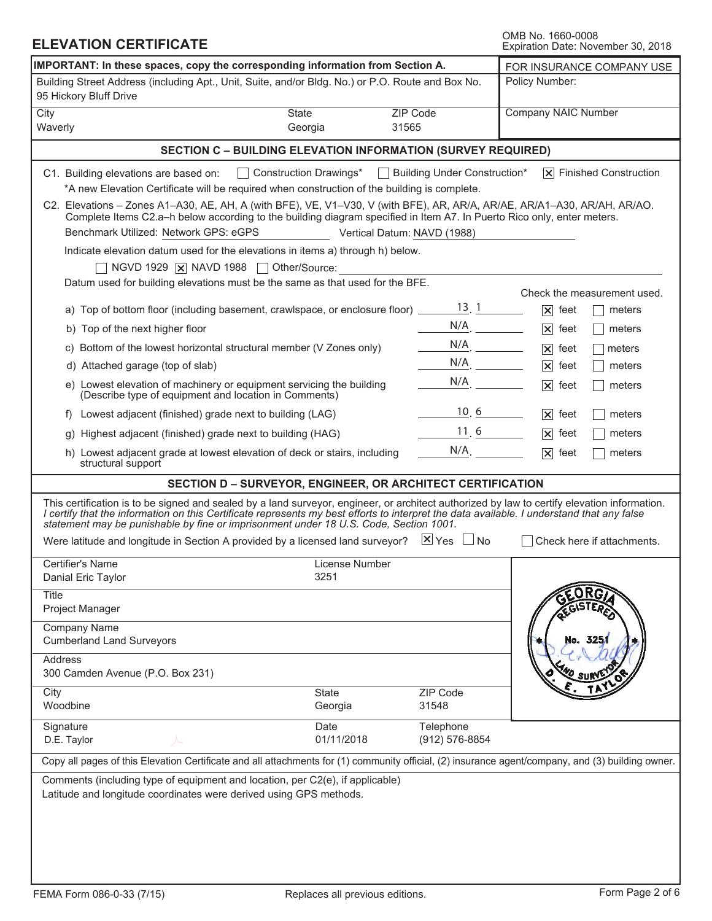| <b>ELEVATION CERTIFICATE</b>                                                                                                                                                                                                                                                                                                                                                        |                                                            | OMB No. 1660-0008<br>Expiration Date: November 30, 2018 |                              |                     |                                        |  |
|-------------------------------------------------------------------------------------------------------------------------------------------------------------------------------------------------------------------------------------------------------------------------------------------------------------------------------------------------------------------------------------|------------------------------------------------------------|---------------------------------------------------------|------------------------------|---------------------|----------------------------------------|--|
| IMPORTANT: In these spaces, copy the corresponding information from Section A.                                                                                                                                                                                                                                                                                                      | FOR INSURANCE COMPANY USE                                  |                                                         |                              |                     |                                        |  |
| Building Street Address (including Apt., Unit, Suite, and/or Bldg. No.) or P.O. Route and Box No.<br>95 Hickory Bluff Drive                                                                                                                                                                                                                                                         |                                                            |                                                         |                              | Policy Number:      |                                        |  |
| City                                                                                                                                                                                                                                                                                                                                                                                | State                                                      | ZIP Code                                                |                              | Company NAIC Number |                                        |  |
| Waverly                                                                                                                                                                                                                                                                                                                                                                             | Georgia                                                    | 31565                                                   |                              |                     |                                        |  |
| <b>SECTION C - BUILDING ELEVATION INFORMATION (SURVEY REQUIRED)</b>                                                                                                                                                                                                                                                                                                                 |                                                            |                                                         |                              |                     |                                        |  |
| C1. Building elevations are based on:<br>*A new Elevation Certificate will be required when construction of the building is complete.                                                                                                                                                                                                                                               | Construction Drawings*                                     |                                                         | Building Under Construction* |                     | $ \overline{x} $ Finished Construction |  |
| C2. Elevations – Zones A1–A30, AE, AH, A (with BFE), VE, V1–V30, V (with BFE), AR, AR/A, AR/AE, AR/A1–A30, AR/AH, AR/AO.<br>Complete Items C2.a-h below according to the building diagram specified in Item A7. In Puerto Rico only, enter meters.<br>Benchmark Utilized: Network GPS: eGPS<br>Vertical Datum: NAVD (1988)                                                          |                                                            |                                                         |                              |                     |                                        |  |
| Indicate elevation datum used for the elevations in items a) through h) below.                                                                                                                                                                                                                                                                                                      |                                                            |                                                         |                              |                     |                                        |  |
| NGVD 1929 $\overline{X}$ NAVD 1988 $\Box$                                                                                                                                                                                                                                                                                                                                           | Other/Source:                                              |                                                         |                              |                     |                                        |  |
| Datum used for building elevations must be the same as that used for the BFE.                                                                                                                                                                                                                                                                                                       |                                                            |                                                         |                              |                     |                                        |  |
|                                                                                                                                                                                                                                                                                                                                                                                     |                                                            |                                                         | $13 \ 1$                     |                     | Check the measurement used.            |  |
| a) Top of bottom floor (including basement, crawlspace, or enclosure floor) _____                                                                                                                                                                                                                                                                                                   |                                                            |                                                         | $N/A$ .                      | $ \mathsf{x} $ feet | meters                                 |  |
| b) Top of the next higher floor                                                                                                                                                                                                                                                                                                                                                     |                                                            |                                                         |                              | $ \mathsf{x} $ feet | meters                                 |  |
| c) Bottom of the lowest horizontal structural member (V Zones only)                                                                                                                                                                                                                                                                                                                 |                                                            |                                                         | $N/A$ .<br>$N/A$ .           | $ \mathsf{x} $ feet | meters                                 |  |
| d) Attached garage (top of slab)                                                                                                                                                                                                                                                                                                                                                    |                                                            |                                                         | N/A                          | $ \mathsf{x} $ feet | meters                                 |  |
| e) Lowest elevation of machinery or equipment servicing the building<br>(Describe type of equipment and location in Comments)                                                                                                                                                                                                                                                       |                                                            |                                                         |                              | $ \mathsf{x} $ feet | meters                                 |  |
| f) Lowest adjacent (finished) grade next to building (LAG)                                                                                                                                                                                                                                                                                                                          |                                                            |                                                         | 10, 6                        | $ \mathsf{x} $ feet | meters                                 |  |
| Highest adjacent (finished) grade next to building (HAG)<br>q)                                                                                                                                                                                                                                                                                                                      |                                                            |                                                         | 11, 6                        | $ \mathsf{x} $ feet | meters                                 |  |
| h) Lowest adjacent grade at lowest elevation of deck or stairs, including<br>structural support                                                                                                                                                                                                                                                                                     |                                                            |                                                         | $N/A$ .                      | $ \mathsf{x} $ feet | meters                                 |  |
|                                                                                                                                                                                                                                                                                                                                                                                     | SECTION D - SURVEYOR, ENGINEER, OR ARCHITECT CERTIFICATION |                                                         |                              |                     |                                        |  |
| This certification is to be signed and sealed by a land surveyor, engineer, or architect authorized by law to certify elevation information.<br>I certify that the information on this Certificate represents my best efforts to interpret the data available. I understand that any false<br>statement may be punishable by fine or imprisonment under 18 U.S. Code, Section 1001. |                                                            |                                                         |                              |                     |                                        |  |
| Were latitude and longitude in Section A provided by a licensed land surveyor? $\mathbb{X}$ Yes $\Box$ No                                                                                                                                                                                                                                                                           |                                                            |                                                         |                              |                     | Check here if attachments.             |  |
| Certifier's Name<br>Danial Eric Taylor                                                                                                                                                                                                                                                                                                                                              | License Number<br>3251                                     |                                                         |                              |                     |                                        |  |
| <b>Title</b><br>Project Manager                                                                                                                                                                                                                                                                                                                                                     |                                                            |                                                         |                              |                     |                                        |  |
| Company Name<br><b>Cumberland Land Surveyors</b>                                                                                                                                                                                                                                                                                                                                    |                                                            |                                                         |                              |                     | No. 325/                               |  |
| Address<br>300 Camden Avenue (P.O. Box 231)                                                                                                                                                                                                                                                                                                                                         |                                                            |                                                         |                              |                     |                                        |  |
| City<br>Woodbine                                                                                                                                                                                                                                                                                                                                                                    | State<br>Georgia                                           |                                                         | ZIP Code<br>31548            |                     |                                        |  |
| Signature<br>D.E. Taylor                                                                                                                                                                                                                                                                                                                                                            | Date<br>01/11/2018                                         |                                                         | Telephone<br>(912) 576-8854  |                     |                                        |  |
| Copy all pages of this Elevation Certificate and all attachments for (1) community official, (2) insurance agent/company, and (3) building owner.                                                                                                                                                                                                                                   |                                                            |                                                         |                              |                     |                                        |  |
| Comments (including type of equipment and location, per C2(e), if applicable)<br>Latitude and longitude coordinates were derived using GPS methods.                                                                                                                                                                                                                                 |                                                            |                                                         |                              |                     |                                        |  |
|                                                                                                                                                                                                                                                                                                                                                                                     |                                                            |                                                         |                              |                     |                                        |  |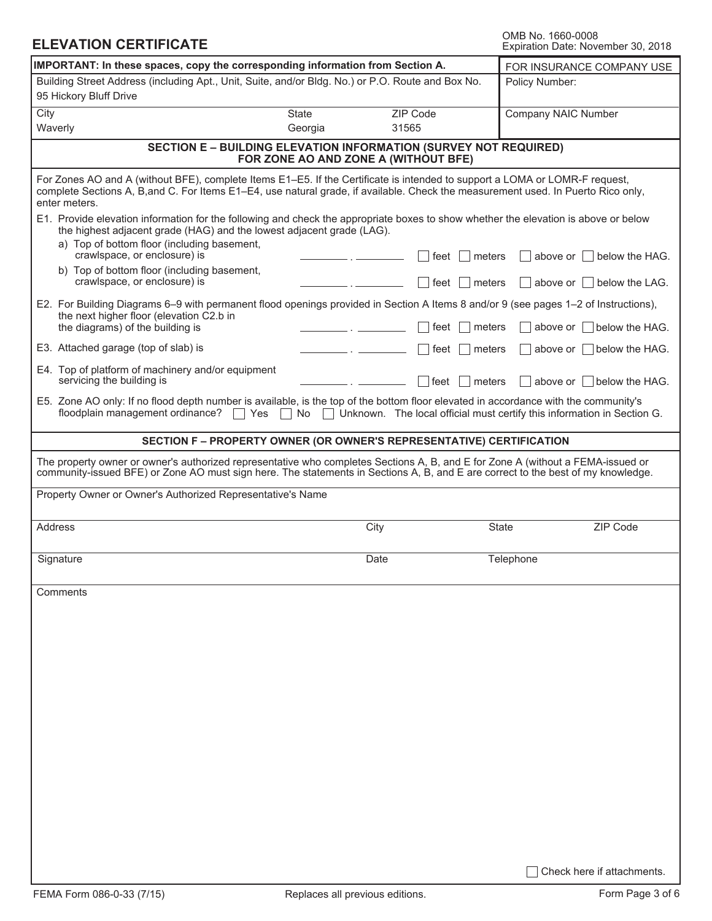| OMB No. 1660-0008 |                                    |  |
|-------------------|------------------------------------|--|
|                   | Expiration Date: November 30, 2018 |  |

| <b>ELEVATION CERTIFICATE</b>                                                                                                                                                                                                                                                      | OMB No. 1660-0008<br>Expiration Date: November 30, 2018                                           |                                                                                                                 |                                                                         |
|-----------------------------------------------------------------------------------------------------------------------------------------------------------------------------------------------------------------------------------------------------------------------------------|---------------------------------------------------------------------------------------------------|-----------------------------------------------------------------------------------------------------------------|-------------------------------------------------------------------------|
| IMPORTANT: In these spaces, copy the corresponding information from Section A.                                                                                                                                                                                                    | FOR INSURANCE COMPANY USE                                                                         |                                                                                                                 |                                                                         |
| 95 Hickory Bluff Drive                                                                                                                                                                                                                                                            | Building Street Address (including Apt., Unit, Suite, and/or Bldg. No.) or P.O. Route and Box No. |                                                                                                                 |                                                                         |
| City<br>Waverly                                                                                                                                                                                                                                                                   | <b>State</b><br>Georgia                                                                           | ZIP Code<br>31565                                                                                               | Company NAIC Number                                                     |
|                                                                                                                                                                                                                                                                                   |                                                                                                   | <b>SECTION E - BUILDING ELEVATION INFORMATION (SURVEY NOT REQUIRED)</b><br>FOR ZONE AO AND ZONE A (WITHOUT BFE) |                                                                         |
| For Zones AO and A (without BFE), complete Items E1–E5. If the Certificate is intended to support a LOMA or LOMR-F request,<br>complete Sections A, B, and C. For Items E1–E4, use natural grade, if available. Check the measurement used. In Puerto Rico only,<br>enter meters. |                                                                                                   |                                                                                                                 |                                                                         |
| E1. Provide elevation information for the following and check the appropriate boxes to show whether the elevation is above or below<br>the highest adjacent grade (HAG) and the lowest adjacent grade (LAG).<br>a) Top of bottom floor (including basement,                       |                                                                                                   |                                                                                                                 |                                                                         |
| crawlspace, or enclosure) is<br>b) Top of bottom floor (including basement,                                                                                                                                                                                                       |                                                                                                   | feet                                                                                                            | above or $\parallel$ below the HAG.<br>meters                           |
| crawlspace, or enclosure) is                                                                                                                                                                                                                                                      |                                                                                                   | ∣ feet                                                                                                          | meters<br>above or $\vert$   below the LAG.                             |
| E2. For Building Diagrams 6–9 with permanent flood openings provided in Section A Items 8 and/or 9 (see pages 1–2 of Instructions),<br>the next higher floor (elevation C2.b in                                                                                                   |                                                                                                   |                                                                                                                 |                                                                         |
| the diagrams) of the building is                                                                                                                                                                                                                                                  |                                                                                                   | ∣ feet                                                                                                          | above or   below the HAG.<br>meters                                     |
| E3. Attached garage (top of slab) is                                                                                                                                                                                                                                              |                                                                                                   | ∣ feet                                                                                                          | above or $\Box$ below the HAG.<br>meters                                |
| E4. Top of platform of machinery and/or equipment<br>servicing the building is                                                                                                                                                                                                    |                                                                                                   | ∣feet                                                                                                           | meters<br>above or $\parallel$ below the HAG.                           |
| E5. Zone AO only: If no flood depth number is available, is the top of the bottom floor elevated in accordance with the community's<br>floodplain management ordinance?<br>ヿ Yes                                                                                                  | No<br>$\Box$                                                                                      |                                                                                                                 | Unknown. The local official must certify this information in Section G. |
|                                                                                                                                                                                                                                                                                   |                                                                                                   | SECTION F - PROPERTY OWNER (OR OWNER'S REPRESENTATIVE) CERTIFICATION                                            |                                                                         |
| The property owner or owner's authorized representative who completes Sections A, B, and E for Zone A (without a FEMA-issued or<br>community-issued BFE) or Zone AO must sign here. The statements in Sections A, B, and E are correct to the best of my knowledge.               |                                                                                                   |                                                                                                                 |                                                                         |
| Property Owner or Owner's Authorized Representative's Name                                                                                                                                                                                                                        |                                                                                                   |                                                                                                                 |                                                                         |
| Address                                                                                                                                                                                                                                                                           |                                                                                                   | City                                                                                                            | ZIP Code<br><b>State</b>                                                |
| Signature                                                                                                                                                                                                                                                                         |                                                                                                   | Date                                                                                                            | Telephone                                                               |
| Comments                                                                                                                                                                                                                                                                          |                                                                                                   |                                                                                                                 |                                                                         |
|                                                                                                                                                                                                                                                                                   |                                                                                                   |                                                                                                                 |                                                                         |
|                                                                                                                                                                                                                                                                                   |                                                                                                   |                                                                                                                 |                                                                         |
|                                                                                                                                                                                                                                                                                   |                                                                                                   |                                                                                                                 |                                                                         |
|                                                                                                                                                                                                                                                                                   |                                                                                                   |                                                                                                                 |                                                                         |
|                                                                                                                                                                                                                                                                                   |                                                                                                   |                                                                                                                 |                                                                         |
|                                                                                                                                                                                                                                                                                   |                                                                                                   |                                                                                                                 |                                                                         |
|                                                                                                                                                                                                                                                                                   |                                                                                                   |                                                                                                                 |                                                                         |
|                                                                                                                                                                                                                                                                                   |                                                                                                   |                                                                                                                 |                                                                         |
|                                                                                                                                                                                                                                                                                   |                                                                                                   |                                                                                                                 |                                                                         |
|                                                                                                                                                                                                                                                                                   |                                                                                                   |                                                                                                                 |                                                                         |
|                                                                                                                                                                                                                                                                                   |                                                                                                   |                                                                                                                 |                                                                         |
|                                                                                                                                                                                                                                                                                   |                                                                                                   |                                                                                                                 |                                                                         |
|                                                                                                                                                                                                                                                                                   |                                                                                                   |                                                                                                                 |                                                                         |
|                                                                                                                                                                                                                                                                                   |                                                                                                   |                                                                                                                 | Check here if attachments.                                              |

ı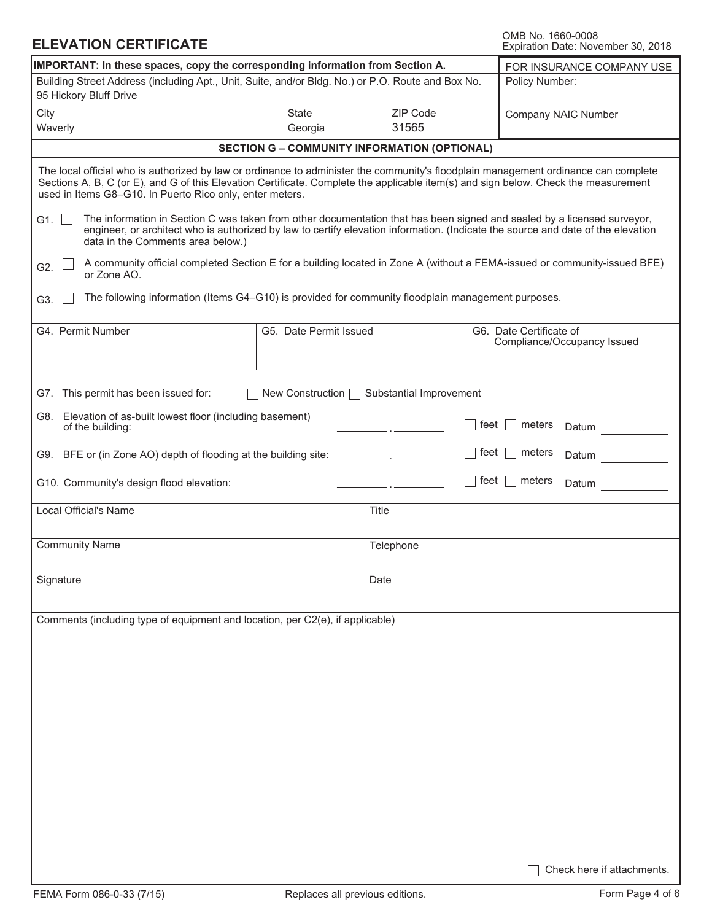### **ELEVATION CERTIFICATE**

OMB No. 1660-0008<br>Expiration Date: November 30, 2018

| IMPORTANT: In these spaces, copy the corresponding information from Section A.<br>FOR INSURANCE COMPANY USE                                                                                                                                                                                                                            |                        |                                                     |      |                                                        |  |  |  |
|----------------------------------------------------------------------------------------------------------------------------------------------------------------------------------------------------------------------------------------------------------------------------------------------------------------------------------------|------------------------|-----------------------------------------------------|------|--------------------------------------------------------|--|--|--|
| Building Street Address (including Apt., Unit, Suite, and/or Bldg. No.) or P.O. Route and Box No.<br>95 Hickory Bluff Drive                                                                                                                                                                                                            |                        | Policy Number:                                      |      |                                                        |  |  |  |
| City                                                                                                                                                                                                                                                                                                                                   | State                  | ZIP Code                                            |      | Company NAIC Number                                    |  |  |  |
| Waverly                                                                                                                                                                                                                                                                                                                                | Georgia                | 31565                                               |      |                                                        |  |  |  |
|                                                                                                                                                                                                                                                                                                                                        |                        | <b>SECTION G - COMMUNITY INFORMATION (OPTIONAL)</b> |      |                                                        |  |  |  |
| The local official who is authorized by law or ordinance to administer the community's floodplain management ordinance can complete<br>Sections A, B, C (or E), and G of this Elevation Certificate. Complete the applicable item(s) and sign below. Check the measurement<br>used in Items G8-G10. In Puerto Rico only, enter meters. |                        |                                                     |      |                                                        |  |  |  |
| The information in Section C was taken from other documentation that has been signed and sealed by a licensed surveyor,<br>G1. $\square$<br>engineer, or architect who is authorized by law to certify elevation information. (Indicate the source and date of the elevation<br>data in the Comments area below.)                      |                        |                                                     |      |                                                        |  |  |  |
| A community official completed Section E for a building located in Zone A (without a FEMA-issued or community-issued BFE)<br>G2.<br>or Zone AO.                                                                                                                                                                                        |                        |                                                     |      |                                                        |  |  |  |
| The following information (Items G4-G10) is provided for community floodplain management purposes.<br>G3.                                                                                                                                                                                                                              |                        |                                                     |      |                                                        |  |  |  |
| G4. Permit Number                                                                                                                                                                                                                                                                                                                      | G5. Date Permit Issued |                                                     |      | G6. Date Certificate of<br>Compliance/Occupancy Issued |  |  |  |
| G7. This permit has been issued for:                                                                                                                                                                                                                                                                                                   |                        | New Construction   Substantial Improvement          |      |                                                        |  |  |  |
| G8. Elevation of as-built lowest floor (including basement)<br>of the building:                                                                                                                                                                                                                                                        |                        |                                                     | feet | meters<br>Datum                                        |  |  |  |
| G9. BFE or (in Zone AO) depth of flooding at the building site: _________________                                                                                                                                                                                                                                                      |                        |                                                     | feet | meters<br>Datum                                        |  |  |  |
| G10. Community's design flood elevation:                                                                                                                                                                                                                                                                                               |                        |                                                     | feet | meters<br>Datum                                        |  |  |  |
| Local Official's Name                                                                                                                                                                                                                                                                                                                  |                        | Title                                               |      |                                                        |  |  |  |
| <b>Community Name</b>                                                                                                                                                                                                                                                                                                                  |                        | Telephone                                           |      |                                                        |  |  |  |
| Signature                                                                                                                                                                                                                                                                                                                              |                        | Date                                                |      |                                                        |  |  |  |
| Comments (including type of equipment and location, per C2(e), if applicable)                                                                                                                                                                                                                                                          |                        |                                                     |      |                                                        |  |  |  |
|                                                                                                                                                                                                                                                                                                                                        |                        |                                                     |      |                                                        |  |  |  |
|                                                                                                                                                                                                                                                                                                                                        |                        |                                                     |      |                                                        |  |  |  |
|                                                                                                                                                                                                                                                                                                                                        |                        |                                                     |      |                                                        |  |  |  |
|                                                                                                                                                                                                                                                                                                                                        |                        |                                                     |      |                                                        |  |  |  |
|                                                                                                                                                                                                                                                                                                                                        |                        |                                                     |      |                                                        |  |  |  |
|                                                                                                                                                                                                                                                                                                                                        |                        |                                                     |      |                                                        |  |  |  |
|                                                                                                                                                                                                                                                                                                                                        |                        |                                                     |      |                                                        |  |  |  |
|                                                                                                                                                                                                                                                                                                                                        |                        |                                                     |      | Check here if attachments.                             |  |  |  |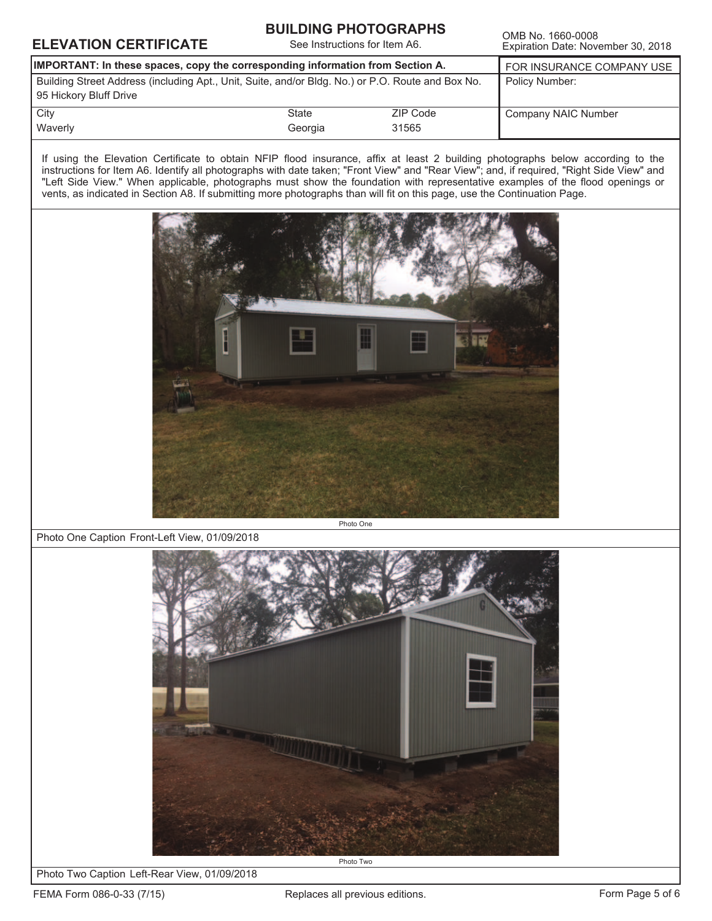### **ELEVATION CERTIFICATE See Instructions for Item A6.** OMB No. 1660-0008

#### **BUILDING PHOTOGRAPHS**

See Instructions for Item A6.

Expiration Date: November 30, 2018

| IMPORTANT: In these spaces, copy the corresponding information from Section A.                                              | FOR INSURANCE COMPANY USE |                   |                     |
|-----------------------------------------------------------------------------------------------------------------------------|---------------------------|-------------------|---------------------|
| Building Street Address (including Apt., Unit, Suite, and/or Bldg. No.) or P.O. Route and Box No.<br>95 Hickory Bluff Drive | Policy Number:            |                   |                     |
| City<br>Waverly                                                                                                             | State<br>Georgia          | ZIP Code<br>31565 | Company NAIC Number |
|                                                                                                                             |                           |                   |                     |

If using the Elevation Certificate to obtain NFIP flood insurance, affix at least 2 building photographs below according to the instructions for Item A6. Identify all photographs with date taken; "Front View" and "Rear View"; and, if required, "Right Side View" and "Left Side View." When applicable, photographs must show the foundation with representative examples of the flood openings or vents, as indicated in Section A8. If submitting more photographs than will fit on this page, use the Continuation Page.



Photo One Caption Front-Left View, 01/09/2018



Photo Two Caption Left-Rear View, 01/09/2018